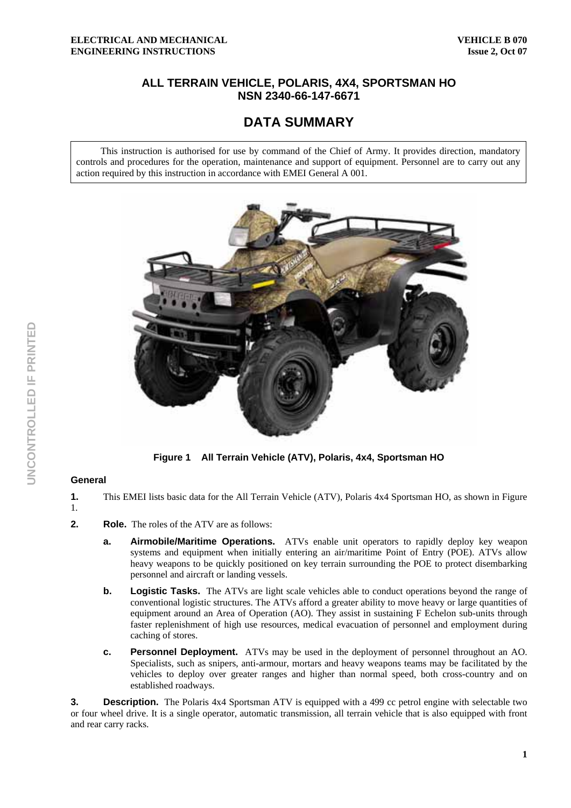## **ALL TERRAIN VEHICLE, POLARIS, 4X4, SPORTSMAN HO NSN 2340-66-147-6671**

# **DATA SUMMARY**

This instruction is authorised for use by command of the Chief of Army. It provides direction, mandatory controls and procedures for the operation, maintenance and support of equipment. Personnel are to carry out any action required by this instruction in accordance with EMEI General A 001.



**Figure 1 All Terrain Vehicle (ATV), Polaris, 4x4, Sportsman HO** 

#### **General**

- **1.** This EMEI lists basic data for the All Terrain Vehicle (ATV), Polaris 4x4 Sportsman HO, as shown in Figure
- 1.
- **2. Role.** The roles of the ATV are as follows:
	- **a. Airmobile/Maritime Operations.** ATVs enable unit operators to rapidly deploy key weapon systems and equipment when initially entering an air/maritime Point of Entry (POE). ATVs allow heavy weapons to be quickly positioned on key terrain surrounding the POE to protect disembarking personnel and aircraft or landing vessels.
	- **b.** Logistic Tasks. The ATVs are light scale vehicles able to conduct operations beyond the range of conventional logistic structures. The ATVs afford a greater ability to move heavy or large quantities of equipment around an Area of Operation (AO). They assist in sustaining F Echelon sub-units through faster replenishment of high use resources, medical evacuation of personnel and employment during caching of stores.
	- **c. Personnel Deployment.** ATVs may be used in the deployment of personnel throughout an AO. Specialists, such as snipers, anti-armour, mortars and heavy weapons teams may be facilitated by the vehicles to deploy over greater ranges and higher than normal speed, both cross-country and on established roadways.

**3. Description.** The Polaris 4x4 Sportsman ATV is equipped with a 499 cc petrol engine with selectable two or four wheel drive. It is a single operator, automatic transmission, all terrain vehicle that is also equipped with front and rear carry racks.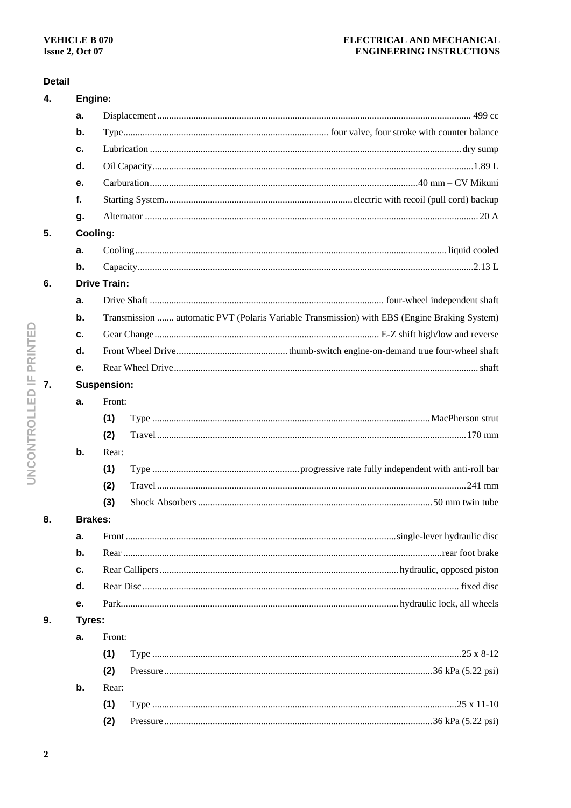## ELECTRICAL AND MECHANICAL **ENGINEERING INSTRUCTIONS**

## **Detail**

| 4. | Engine:        |                                                                                              |  |
|----|----------------|----------------------------------------------------------------------------------------------|--|
|    | a.             |                                                                                              |  |
|    | $\mathbf b$ .  |                                                                                              |  |
|    | с.             |                                                                                              |  |
|    | d.             |                                                                                              |  |
|    | е.             |                                                                                              |  |
|    | f.             |                                                                                              |  |
|    | g.             |                                                                                              |  |
| 5. | Cooling:       |                                                                                              |  |
|    | a.             |                                                                                              |  |
|    | $\mathbf b$ .  |                                                                                              |  |
| 6. |                | <b>Drive Train:</b>                                                                          |  |
|    | a.             |                                                                                              |  |
|    | $\mathbf b$ .  | Transmission  automatic PVT (Polaris Variable Transmission) with EBS (Engine Braking System) |  |
|    | c.             |                                                                                              |  |
|    | d.             |                                                                                              |  |
|    | е.             |                                                                                              |  |
| 7. |                | <b>Suspension:</b>                                                                           |  |
|    | a.             | Front:                                                                                       |  |
|    |                | (1)                                                                                          |  |
|    |                | (2)                                                                                          |  |
|    | b.             | Rear:                                                                                        |  |
|    |                | (1)                                                                                          |  |
|    |                | (2)                                                                                          |  |
|    |                | (3)                                                                                          |  |
| 8. | <b>Brakes:</b> |                                                                                              |  |
|    | а.             |                                                                                              |  |
|    | b.             |                                                                                              |  |
|    | с.             |                                                                                              |  |
|    | d.             |                                                                                              |  |
|    | е.             |                                                                                              |  |
| 9. | Tyres:         |                                                                                              |  |
|    | а.             | Front:                                                                                       |  |
|    |                | (1)                                                                                          |  |
|    |                | (2)                                                                                          |  |
|    | b.             | Rear:                                                                                        |  |
|    |                | (1)                                                                                          |  |
|    |                | (2)                                                                                          |  |
|    |                |                                                                                              |  |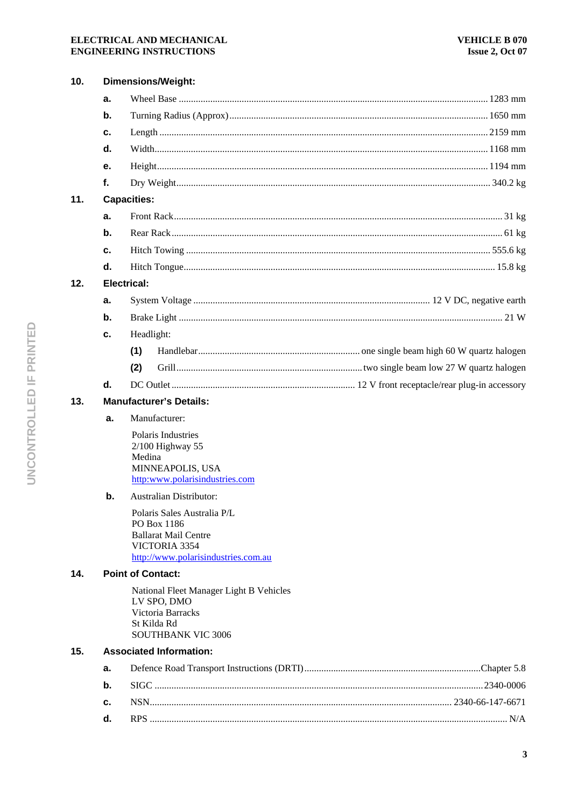### ELECTRICAL AND MECHANICAL **ENGINEERING INSTRUCTIONS**

| 10. |    | <b>Dimensions/Weight:</b>                            |  |  |  |  |
|-----|----|------------------------------------------------------|--|--|--|--|
|     | a. |                                                      |  |  |  |  |
|     | b. |                                                      |  |  |  |  |
|     | c. |                                                      |  |  |  |  |
|     | d. |                                                      |  |  |  |  |
|     | е. |                                                      |  |  |  |  |
|     | f. |                                                      |  |  |  |  |
| 11. |    | <b>Capacities:</b>                                   |  |  |  |  |
|     | a. |                                                      |  |  |  |  |
|     | b. |                                                      |  |  |  |  |
|     | c. |                                                      |  |  |  |  |
|     | d. |                                                      |  |  |  |  |
| 12. |    | <b>Electrical:</b>                                   |  |  |  |  |
|     | a. |                                                      |  |  |  |  |
|     | b. |                                                      |  |  |  |  |
|     | c. | Headlight:                                           |  |  |  |  |
|     |    | (1)                                                  |  |  |  |  |
|     |    | (2)                                                  |  |  |  |  |
|     | d. |                                                      |  |  |  |  |
| 13. |    | <b>Manufacturer's Details:</b>                       |  |  |  |  |
|     | a. | Manufacturer:                                        |  |  |  |  |
|     |    | Polaris Industries                                   |  |  |  |  |
|     |    | $2/100$ Highway 55<br>Medina                         |  |  |  |  |
|     |    | MINNEAPOLIS, USA                                     |  |  |  |  |
|     |    | http:www.polarisindustries.com                       |  |  |  |  |
|     | b. | <b>Australian Distributor:</b>                       |  |  |  |  |
|     |    | Polaris Sales Australia P/L<br>PO Box 1186           |  |  |  |  |
|     |    | <b>Ballarat Mail Centre</b>                          |  |  |  |  |
|     |    | VICTORIA 3354<br>http://www.polarisindustries.com.au |  |  |  |  |
| 14. |    | <b>Point of Contact:</b>                             |  |  |  |  |
|     |    | National Fleet Manager Light B Vehicles              |  |  |  |  |
|     |    | LV SPO, DMO                                          |  |  |  |  |
|     |    | Victoria Barracks<br>St Kilda Rd                     |  |  |  |  |
|     |    | <b>SOUTHBANK VIC 3006</b>                            |  |  |  |  |
| 15. |    | <b>Associated Information:</b>                       |  |  |  |  |
|     | a. |                                                      |  |  |  |  |
|     | b. |                                                      |  |  |  |  |
|     | c. |                                                      |  |  |  |  |
|     | d. |                                                      |  |  |  |  |